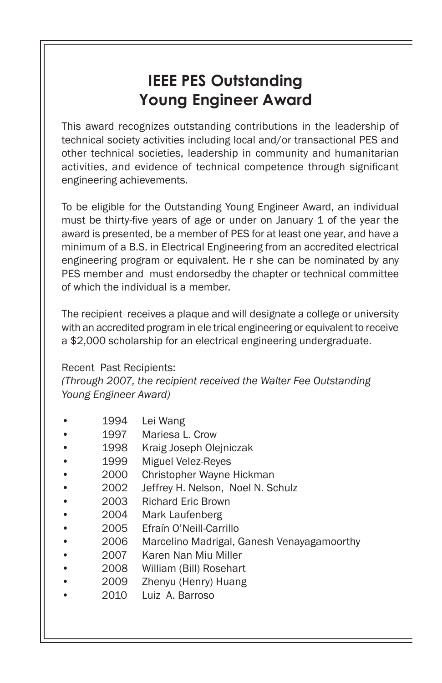## **IEEE PES Outstanding Young Engineer Award**

This award recognizes outstanding contributions in the leadership of technical society activities including local and/or transactional PES and other technical societies, leadership in community and humanitarian activities, and evidence of technical competence through significant engineering achievements.

To be eligible for the Outstanding Young Engineer Award, an individual must be thirty-five years of age or under on January 1 of the year the award is presented, be a member of PES for at least one year, and have a minimum of a B.S. in Electrical Engineering from an accredited electrical engineering program or equivalent. He r she can be nominated by any PES member and must endorsedby the chapter or technical committee of which the individual is a member.

The recipient receives a plaque and will designate a college or university with an accredited program in ele trical engineering or equivalent to receive a \$2,000 scholarship for an electrical engineering undergraduate.

## Recent Past Recipients:

*(Through 2007, the recipient received the Walter Fee Outstanding Young Engineer Award)*

- 1994 Lei Wang
- 1997 Mariesa L. Crow
- 1998 Kraig Joseph Olejniczak
- 1999 Miguel Velez-Reyes
- 2000 Christopher Wayne Hickman
- 2002 Jeffrey H. Nelson, Noel N. Schulz
- 2003 Richard Eric Brown
- 2004 Mark Laufenberg
- 2005 Efraín O'Neill-Carrillo
- 2006 Marcelino Madrigal, Ganesh Venayagamoorthy
- 2007 Karen Nan Miu Miller
- 2008 William (Bill) Rosehart
- 2009 Zhenyu (Henry) Huang
- 2010 Luiz A. Barroso